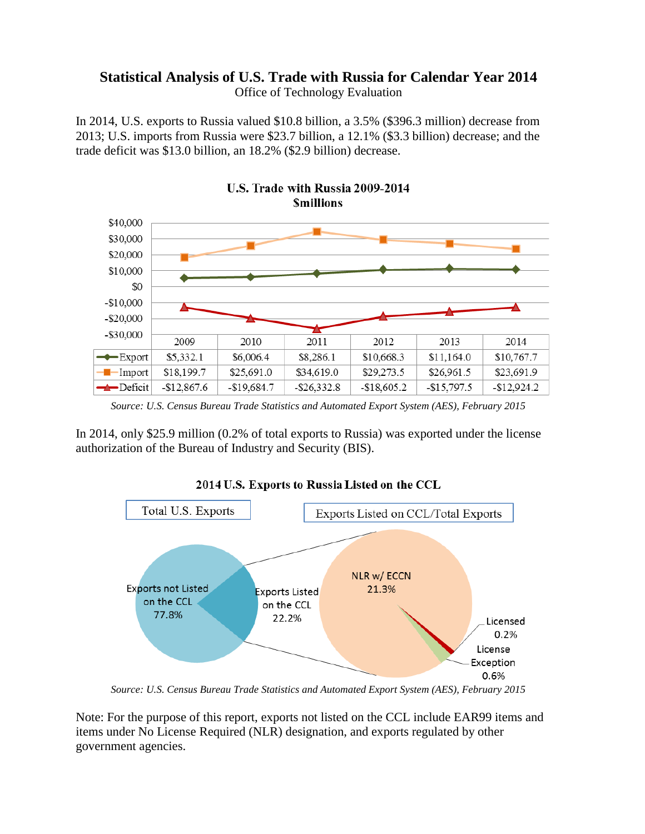### **Statistical Analysis of U.S. Trade with Russia for Calendar Year 2014** Office of Technology Evaluation

In 2014, U.S. exports to Russia valued \$10.8 billion, a 3.5% (\$396.3 million) decrease from 2013; U.S. imports from Russia were \$23.7 billion, a 12.1% (\$3.3 billion) decrease; and the trade deficit was \$13.0 billion, an 18.2% (\$2.9 billion) decrease.



*Source: U.S. Census Bureau Trade Statistics and Automated Export System (AES), February 2015*

In 2014, only \$25.9 million (0.2% of total exports to Russia) was exported under the license authorization of the Bureau of Industry and Security (BIS).



2014 U.S. Exports to Russia Listed on the CCL

*Source: U.S. Census Bureau Trade Statistics and Automated Export System (AES), February 2015*

Note: For the purpose of this report, exports not listed on the CCL include EAR99 items and items under No License Required (NLR) designation, and exports regulated by other government agencies.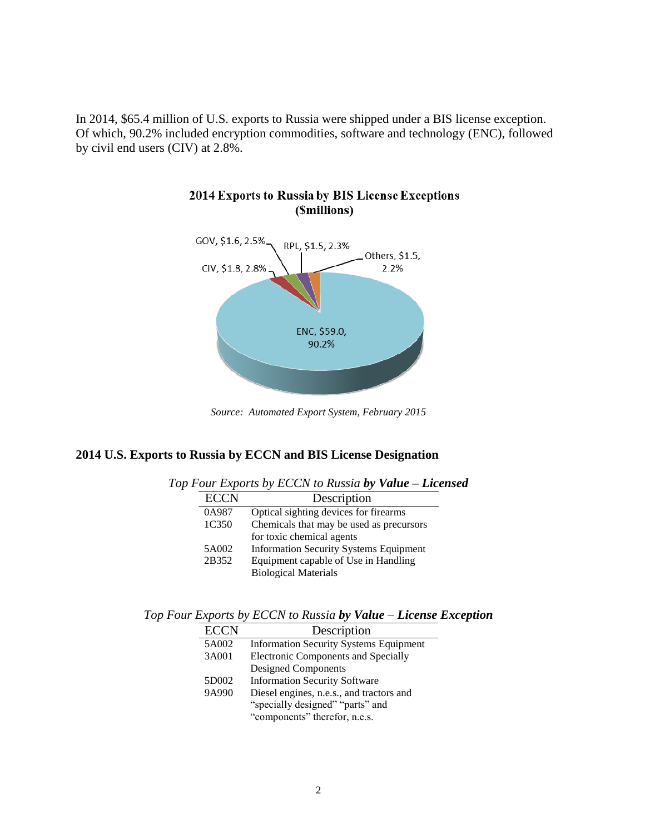In 2014, \$65.4 million of U.S. exports to Russia were shipped under a BIS license exception. Of which, 90.2% included encryption commodities, software and technology (ENC), followed by civil end users (CIV) at 2.8%.



#### 2014 Exports to Russia by BIS License Exceptions (Smillions)

*Source: Automated Export System, February 2015*

#### **2014 U.S. Exports to Russia by ECCN and BIS License Designation**

|             | requingly by Denish to Kussia by <b>Value</b> – <b>License</b> |
|-------------|----------------------------------------------------------------|
| <b>ECCN</b> | Description                                                    |
| 0A987       | Optical sighting devices for firearms                          |
| 1C350       | Chemicals that may be used as precursors                       |
|             | for toxic chemical agents                                      |
| 5A002       | <b>Information Security Systems Equipment</b>                  |
| 2B352       | Equipment capable of Use in Handling                           |
|             | <b>Biological Materials</b>                                    |

*Top Four Exports by ECCN to Russia by Value – Licensed*

*Top Four Exports by ECCN to Russia by Value – License Exception*

| <b>ECCN</b> | Description                                   |  |  |  |  |
|-------------|-----------------------------------------------|--|--|--|--|
| 5A002       | <b>Information Security Systems Equipment</b> |  |  |  |  |
| 3A001       | <b>Electronic Components and Specially</b>    |  |  |  |  |
|             | Designed Components                           |  |  |  |  |
| 5D002       | <b>Information Security Software</b>          |  |  |  |  |
| 9A990       | Diesel engines, n.e.s., and tractors and      |  |  |  |  |
|             | "specially designed" "parts" and              |  |  |  |  |
|             | "components" therefor, n.e.s.                 |  |  |  |  |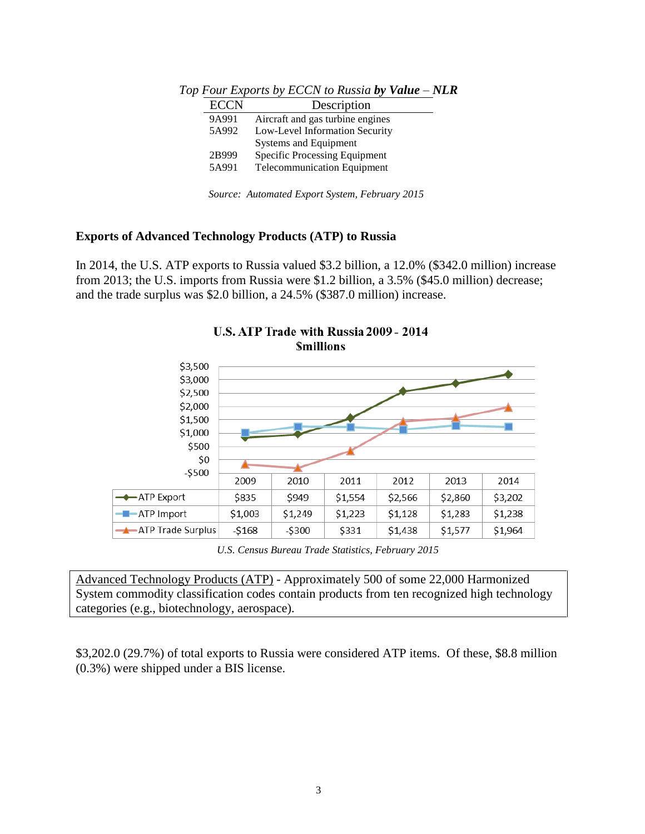| <b>ECCN</b> | Description                          |
|-------------|--------------------------------------|
| 9A991       | Aircraft and gas turbine engines     |
| 5A992       | Low-Level Information Security       |
|             | <b>Systems and Equipment</b>         |
| 2B999       | <b>Specific Processing Equipment</b> |
| 5A991       | <b>Telecommunication Equipment</b>   |
|             |                                      |

*Top Four Exports by ECCN to Russia by Value – NLR*

*Source: Automated Export System, February 2015*

#### **Exports of Advanced Technology Products (ATP) to Russia**

In 2014, the U.S. ATP exports to Russia valued \$3.2 billion, a 12.0% (\$342.0 million) increase from 2013; the U.S. imports from Russia were \$1.2 billion, a 3.5% (\$45.0 million) decrease; and the trade surplus was \$2.0 billion, a 24.5% (\$387.0 million) increase.



## U.S. ATP Trade with Russia 2009 - 2014

*U.S. Census Bureau Trade Statistics, February 2015*

Advanced Technology Products (ATP) - Approximately 500 of some 22,000 Harmonized System commodity classification codes contain products from ten recognized high technology categories (e.g., biotechnology, aerospace).

\$3,202.0 (29.7%) of total exports to Russia were considered ATP items. Of these, \$8.8 million (0.3%) were shipped under a BIS license.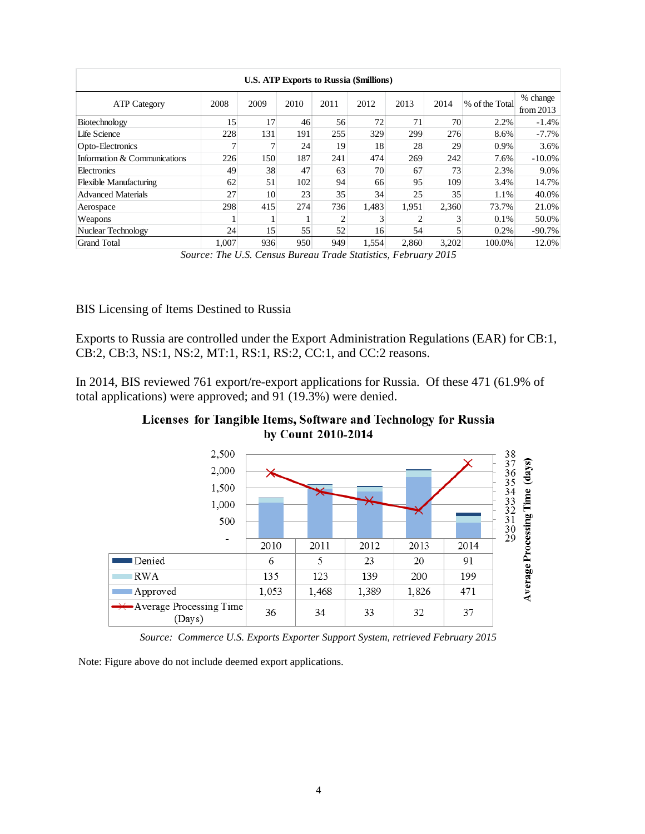| <b>U.S. ATP Exports to Russia (\$millions)</b> |       |      |      |      |       |       |       |                |                         |
|------------------------------------------------|-------|------|------|------|-------|-------|-------|----------------|-------------------------|
| <b>ATP Category</b>                            | 2008  | 2009 | 2010 | 2011 | 2012  | 2013  | 2014  | % of the Total | % change<br>from $2013$ |
| Biotechnology                                  | 15    | 17   | 46   | 56   | 72    | 71    | 70    | 2.2%           | $-1.4%$                 |
| Life Science                                   | 228   | 131  | 191  | 255  | 329   | 299   | 276   | 8.6%           | $-7.7\%$                |
| Opto-Electronics                               | ┑     | 7    | 24   | 19   | 18    | 28    | 29    | 0.9%           | 3.6%                    |
| Information & Communications                   | 226   | 150  | 187  | 241  | 474   | 269   | 242   | 7.6%           | $-10.0\%$               |
| Electronics                                    | 49    | 38   | 47   | 63   | 70    | 67    | 73    | 2.3%           | 9.0%                    |
| <b>Flexible Manufacturing</b>                  | 62    | 51   | 102  | 94   | 66    | 95    | 109   | 3.4%           | 14.7%                   |
| <b>Advanced Materials</b>                      | 27    | 10   | 23   | 35   | 34    | 25    | 35    | 1.1%           | 40.0%                   |
| Aerospace                                      | 298   | 415  | 274  | 736  | 1.483 | 1,951 | 2.360 | 73.7%          | 21.0%                   |
| Weapons                                        |       |      |      | 2    | 3     | ↑     |       | 0.1%           | 50.0%                   |
| Nuclear Technology                             | 24    | 15   | 55   | 52   | 16    | 54    | 5     | 0.2%           | $-90.7%$                |
| <b>Grand Total</b>                             | 1,007 | 936  | 950  | 949  | 1,554 | 2.860 | 3,202 | 100.0%         | 12.0%                   |

*Source: The U.S. Census Bureau Trade Statistics, February 2015*

#### BIS Licensing of Items Destined to Russia

Exports to Russia are controlled under the Export Administration Regulations (EAR) for CB:1, CB:2, CB:3, NS:1, NS:2, MT:1, RS:1, RS:2, CC:1, and CC:2 reasons.

In 2014, BIS reviewed 761 export/re-export applications for Russia. Of these 471 (61.9% of total applications) were approved; and 91 (19.3%) were denied.

Licenses for Tangible Items, Software and Technology for Russia by Count 2010-2014



*Source: Commerce U.S. Exports Exporter Support System, retrieved February 2015*

Note: Figure above do not include deemed export applications.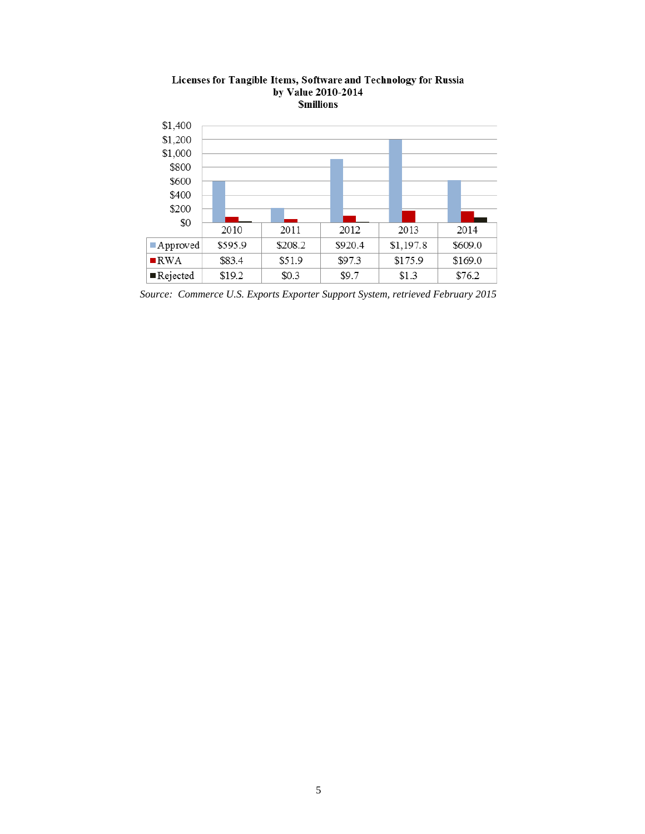

# Licenses for Tangible Items, Software and Technology for Russia<br>by Value 2010-2014<br>Smillions

*Source: Commerce U.S. Exports Exporter Support System, retrieved February 2015*